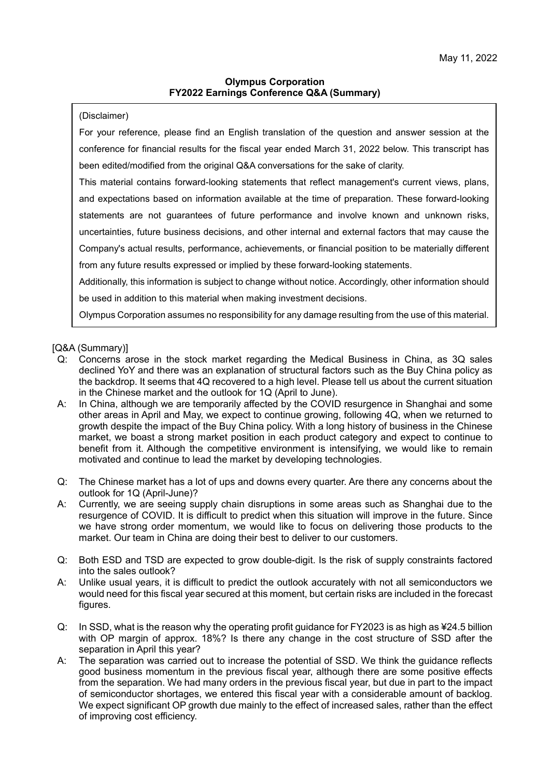## **Olympus Corporation FY2022 Earnings Conference Q&A (Summary)**

(Disclaimer)

For your reference, please find an English translation of the question and answer session at the conference for financial results for the fiscal year ended March 31, 2022 below. This transcript has been edited/modified from the original Q&A conversations for the sake of clarity.

This material contains forward-looking statements that reflect management's current views, plans, and expectations based on information available at the time of preparation. These forward-looking statements are not guarantees of future performance and involve known and unknown risks, uncertainties, future business decisions, and other internal and external factors that may cause the Company's actual results, performance, achievements, or financial position to be materially different from any future results expressed or implied by these forward-looking statements.

Additionally, this information is subject to change without notice. Accordingly, other information should be used in addition to this material when making investment decisions.

Olympus Corporation assumes no responsibility for any damage resulting from the use of this material.

[Q&A (Summary)]

- Q: Concerns arose in the stock market regarding the Medical Business in China, as 3Q sales declined YoY and there was an explanation of structural factors such as the Buy China policy as the backdrop. It seems that 4Q recovered to a high level. Please tell us about the current situation in the Chinese market and the outlook for 1Q (April to June).
- A: In China, although we are temporarily affected by the COVID resurgence in Shanghai and some other areas in April and May, we expect to continue growing, following 4Q, when we returned to growth despite the impact of the Buy China policy. With a long history of business in the Chinese market, we boast a strong market position in each product category and expect to continue to benefit from it. Although the competitive environment is intensifying, we would like to remain motivated and continue to lead the market by developing technologies.
- Q: The Chinese market has a lot of ups and downs every quarter. Are there any concerns about the outlook for 1Q (April-June)?
- A: Currently, we are seeing supply chain disruptions in some areas such as Shanghai due to the resurgence of COVID. It is difficult to predict when this situation will improve in the future. Since we have strong order momentum, we would like to focus on delivering those products to the market. Our team in China are doing their best to deliver to our customers.
- Q: Both ESD and TSD are expected to grow double-digit. Is the risk of supply constraints factored into the sales outlook?
- A: Unlike usual years, it is difficult to predict the outlook accurately with not all semiconductors we would need for this fiscal year secured at this moment, but certain risks are included in the forecast figures.
- Q: In SSD, what is the reason why the operating profit guidance for FY2023 is as high as ¥24.5 billion with OP margin of approx. 18%? Is there any change in the cost structure of SSD after the separation in April this year?
- A: The separation was carried out to increase the potential of SSD. We think the guidance reflects good business momentum in the previous fiscal year, although there are some positive effects from the separation. We had many orders in the previous fiscal year, but due in part to the impact of semiconductor shortages, we entered this fiscal year with a considerable amount of backlog. We expect significant OP growth due mainly to the effect of increased sales, rather than the effect of improving cost efficiency.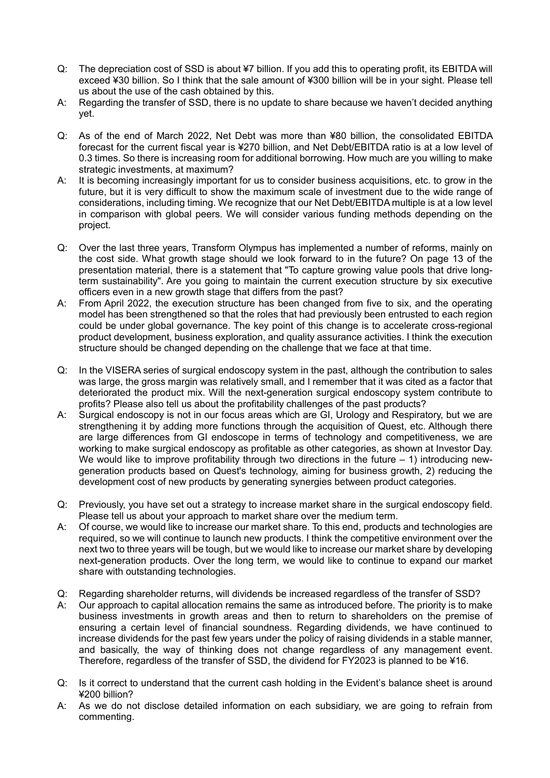- Q: The depreciation cost of SSD is about ¥7 billion. If you add this to operating profit, its EBITDA will exceed ¥30 billion. So I think that the sale amount of ¥300 billion will be in your sight. Please tell us about the use of the cash obtained by this.
- A: Regarding the transfer of SSD, there is no update to share because we haven't decided anything yet.
- Q: As of the end of March 2022, Net Debt was more than ¥80 billion, the consolidated EBITDA forecast for the current fiscal year is ¥270 billion, and Net Debt/EBITDA ratio is at a low level of 0.3 times. So there is increasing room for additional borrowing. How much are you willing to make strategic investments, at maximum?
- A: It is becoming increasingly important for us to consider business acquisitions, etc. to grow in the future, but it is very difficult to show the maximum scale of investment due to the wide range of considerations, including timing. We recognize that our Net Debt/EBITDA multiple is at a low level in comparison with global peers. We will consider various funding methods depending on the project.
- Q: Over the last three years, Transform Olympus has implemented a number of reforms, mainly on the cost side. What growth stage should we look forward to in the future? On page 13 of the presentation material, there is a statement that "To capture growing value pools that drive longterm sustainability". Are you going to maintain the current execution structure by six executive officers even in a new growth stage that differs from the past?
- A: From April 2022, the execution structure has been changed from five to six, and the operating model has been strengthened so that the roles that had previously been entrusted to each region could be under global governance. The key point of this change is to accelerate cross-regional product development, business exploration, and quality assurance activities. I think the execution structure should be changed depending on the challenge that we face at that time.
- Q: In the VISERA series of surgical endoscopy system in the past, although the contribution to sales was large, the gross margin was relatively small, and I remember that it was cited as a factor that deteriorated the product mix. Will the next-generation surgical endoscopy system contribute to profits? Please also tell us about the profitability challenges of the past products?
- A: Surgical endoscopy is not in our focus areas which are GI, Urology and Respiratory, but we are strengthening it by adding more functions through the acquisition of Quest, etc. Although there are large differences from GI endoscope in terms of technology and competitiveness, we are working to make surgical endoscopy as profitable as other categories, as shown at Investor Day. We would like to improve profitability through two directions in the future  $-1$ ) introducing newgeneration products based on Quest's technology, aiming for business growth, 2) reducing the development cost of new products by generating synergies between product categories.
- Q: Previously, you have set out a strategy to increase market share in the surgical endoscopy field. Please tell us about your approach to market share over the medium term.
- A: Of course, we would like to increase our market share. To this end, products and technologies are required, so we will continue to launch new products. I think the competitive environment over the next two to three years will be tough, but we would like to increase our market share by developing next-generation products. Over the long term, we would like to continue to expand our market share with outstanding technologies.
- Q: Regarding shareholder returns, will dividends be increased regardless of the transfer of SSD?
- A: Our approach to capital allocation remains the same as introduced before. The priority is to make business investments in growth areas and then to return to shareholders on the premise of ensuring a certain level of financial soundness. Regarding dividends, we have continued to increase dividends for the past few years under the policy of raising dividends in a stable manner, and basically, the way of thinking does not change regardless of any management event. Therefore, regardless of the transfer of SSD, the dividend for FY2023 is planned to be ¥16.
- Q: Is it correct to understand that the current cash holding in the Evident's balance sheet is around ¥200 billion?
- A: As we do not disclose detailed information on each subsidiary, we are going to refrain from commenting.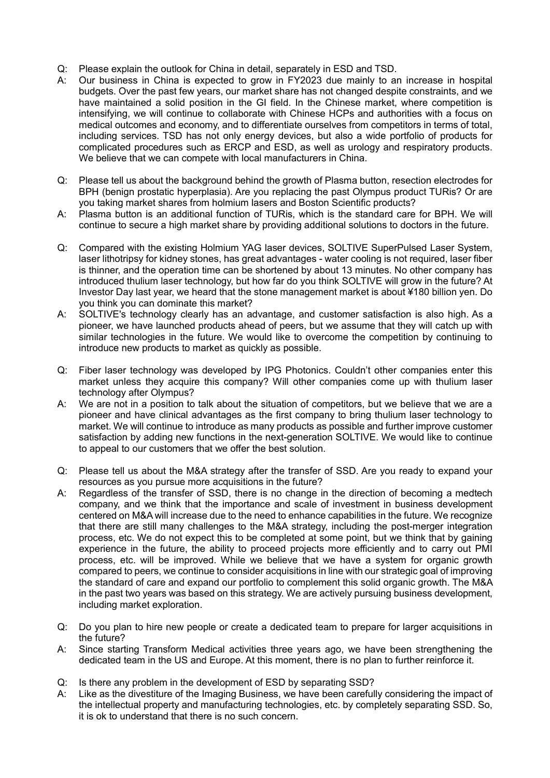- Q: Please explain the outlook for China in detail, separately in ESD and TSD.
- A: Our business in China is expected to grow in FY2023 due mainly to an increase in hospital budgets. Over the past few years, our market share has not changed despite constraints, and we have maintained a solid position in the GI field. In the Chinese market, where competition is intensifying, we will continue to collaborate with Chinese HCPs and authorities with a focus on medical outcomes and economy, and to differentiate ourselves from competitors in terms of total, including services. TSD has not only energy devices, but also a wide portfolio of products for complicated procedures such as ERCP and ESD, as well as urology and respiratory products. We believe that we can compete with local manufacturers in China.
- Q: Please tell us about the background behind the growth of Plasma button, resection electrodes for BPH (benign prostatic hyperplasia). Are you replacing the past Olympus product TURis? Or are you taking market shares from holmium lasers and Boston Scientific products?
- A: Plasma button is an additional function of TURis, which is the standard care for BPH. We will continue to secure a high market share by providing additional solutions to doctors in the future.
- Q: Compared with the existing Holmium YAG laser devices, SOLTIVE SuperPulsed Laser System, laser lithotripsy for kidney stones, has great advantages - water cooling is not required, laser fiber is thinner, and the operation time can be shortened by about 13 minutes. No other company has introduced thulium laser technology, but how far do you think SOLTIVE will grow in the future? At Investor Day last year, we heard that the stone management market is about ¥180 billion yen. Do you think you can dominate this market?
- A: SOLTIVE's technology clearly has an advantage, and customer satisfaction is also high. As a pioneer, we have launched products ahead of peers, but we assume that they will catch up with similar technologies in the future. We would like to overcome the competition by continuing to introduce new products to market as quickly as possible.
- Q: Fiber laser technology was developed by IPG Photonics. Couldn't other companies enter this market unless they acquire this company? Will other companies come up with thulium laser technology after Olympus?
- A: We are not in a position to talk about the situation of competitors, but we believe that we are a pioneer and have clinical advantages as the first company to bring thulium laser technology to market. We will continue to introduce as many products as possible and further improve customer satisfaction by adding new functions in the next-generation SOLTIVE. We would like to continue to appeal to our customers that we offer the best solution.
- Q: Please tell us about the M&A strategy after the transfer of SSD. Are you ready to expand your resources as you pursue more acquisitions in the future?
- A: Regardless of the transfer of SSD, there is no change in the direction of becoming a medtech company, and we think that the importance and scale of investment in business development centered on M&A will increase due to the need to enhance capabilities in the future. We recognize that there are still many challenges to the M&A strategy, including the post-merger integration process, etc. We do not expect this to be completed at some point, but we think that by gaining experience in the future, the ability to proceed projects more efficiently and to carry out PMI process, etc. will be improved. While we believe that we have a system for organic growth compared to peers, we continue to consider acquisitions in line with our strategic goal of improving the standard of care and expand our portfolio to complement this solid organic growth. The M&A in the past two years was based on this strategy. We are actively pursuing business development, including market exploration.
- Q: Do you plan to hire new people or create a dedicated team to prepare for larger acquisitions in the future?
- A: Since starting Transform Medical activities three years ago, we have been strengthening the dedicated team in the US and Europe. At this moment, there is no plan to further reinforce it.
- Q: Is there any problem in the development of ESD by separating SSD?
- A: Like as the divestiture of the Imaging Business, we have been carefully considering the impact of the intellectual property and manufacturing technologies, etc. by completely separating SSD. So, it is ok to understand that there is no such concern.